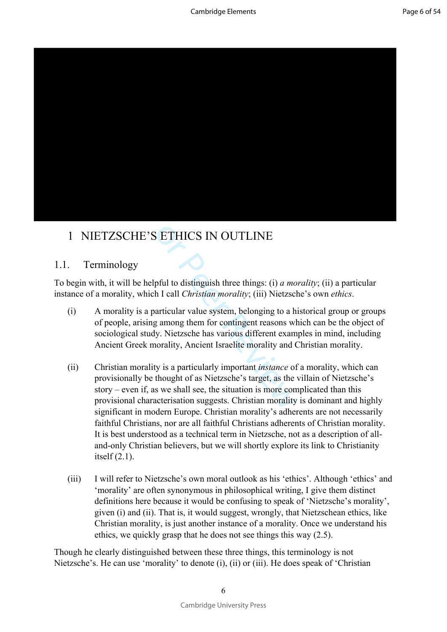

## 1 NIETZSCHE'S ETHICS IN OUTLINE

## 1.1. Terminology

To begin with, it will be helpful to distinguish three things: (i) *a morality*; (ii) a particular instance of a morality, which I call *Christian morality*; (iii) Nietzsche's own *ethics*.

- (i) A morality is a particular value system, belonging to a historical group or groups of people, arising among them for contingent reasons which can be the object of sociological study. Nietzsche has various different examples in mind, including Ancient Greek morality, Ancient Israelite morality and Christian morality.
- S ETHICS IN OUTLINE<br>pful to distinguish three things: (i) *a mo*<br>h I call *Christian morality*; (iii) Nietzscl<br>aarticular value system, belonging to a h<br>g among them for contingent reasons wly.<br>Nietzsche has various diffe (ii) Christian morality is a particularly important *instance* of a morality, which can provisionally be thought of as Nietzsche's target, as the villain of Nietzsche's story – even if, as we shall see, the situation is more complicated than this provisional characterisation suggests. Christian morality is dominant and highly significant in modern Europe. Christian morality's adherents are not necessarily faithful Christians, nor are all faithful Christians adherents of Christian morality. It is best understood as a technical term in Nietzsche, not as a description of alland-only Christian believers, but we will shortly explore its link to Christianity itself (2.1).
- (iii) I will refer to Nietzsche's own moral outlook as his 'ethics'. Although 'ethics' and 'morality' are often synonymous in philosophical writing, I give them distinct definitions here because it would be confusing to speak of 'Nietzsche's morality', given (i) and (ii). That is, it would suggest, wrongly, that Nietzschean ethics, like Christian morality, is just another instance of a morality. Once we understand his ethics, we quickly grasp that he does not see things this way (2.5).

Though he clearly distinguished between these three things, this terminology is not Nietzsche's. He can use 'morality' to denote (i), (ii) or (iii). He does speak of 'Christian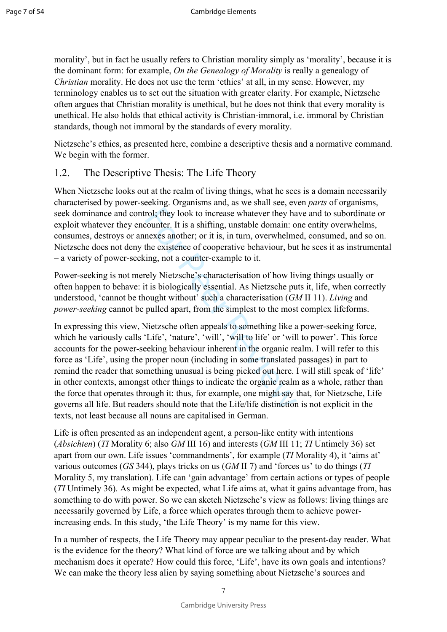morality', but in fact he usually refers to Christian morality simply as 'morality', because it is the dominant form: for example, *On the Genealogy of Morality* is really a genealogy of *Christian* morality. He does not use the term 'ethics' at all, in my sense. However, my terminology enables us to set out the situation with greater clarity. For example, Nietzsche often argues that Christian morality is unethical, but he does not think that every morality is unethical. He also holds that ethical activity is Christian-immoral, i.e. immoral by Christian standards, though not immoral by the standards of every morality.

Nietzsche's ethics, as presented here, combine a descriptive thesis and a normative command. We begin with the former.

## 1.2. The Descriptive Thesis: The Life Theory

When Nietzsche looks out at the realm of living things, what he sees is a domain necessarily characterised by power-seeking. Organisms and, as we shall see, even *parts* of organisms, seek dominance and control; they look to increase whatever they have and to subordinate or exploit whatever they encounter. It is a shifting, unstable domain: one entity overwhelms, consumes, destroys or annexes another; or it is, in turn, overwhelmed, consumed, and so on. Nietzsche does not deny the existence of cooperative behaviour, but he sees it as instrumental – a variety of power-seeking, not a counter-example to it.

Power-seeking is not merely Nietzsche's characterisation of how living things usually or often happen to behave: it is biologically essential. As Nietzsche puts it, life, when correctly understood, 'cannot be thought without' such a characterisation (*GM* II 11). *Living* and *power-seeking* cannot be pulled apart, from the simplest to the most complex lifeforms.

rol; they look to increase whatever they ha<br>counter. It is a shifting, unstable domain: o<br>nexes another; or it is, in turn, overwhelme<br>the existence of cooperative behaviour, bu<br>ing, not a counter-example to it.<br>rely Nietz In expressing this view, Nietzsche often appeals to something like a power-seeking force, which he variously calls 'Life', 'nature', 'will', 'will to life' or 'will to power'. This force accounts for the power-seeking behaviour inherent in the organic realm. I will refer to this force as 'Life', using the proper noun (including in some translated passages) in part to remind the reader that something unusual is being picked out here. I will still speak of 'life' in other contexts, amongst other things to indicate the organic realm as a whole, rather than the force that operates through it: thus, for example, one might say that, for Nietzsche, Life governs all life. But readers should note that the Life/life distinction is not explicit in the texts, not least because all nouns are capitalised in German.

Life is often presented as an independent agent, a person-like entity with intentions (*Absichten*) (*TI* Morality 6; also *GM* III 16) and interests (*GM* III 11; *TI* Untimely 36) set apart from our own. Life issues 'commandments', for example (*TI* Morality 4), it 'aims at' various outcomes (*GS* 344), plays tricks on us (*GM* II 7) and 'forces us' to do things (*TI* Morality 5, my translation). Life can 'gain advantage' from certain actions or types of people (*TI* Untimely 36). As might be expected, what Life aims at, what it gains advantage from, has something to do with power. So we can sketch Nietzsche's view as follows: living things are necessarily governed by Life, a force which operates through them to achieve powerincreasing ends. In this study, 'the Life Theory' is my name for this view.

In a number of respects, the Life Theory may appear peculiar to the present-day reader. What is the evidence for the theory? What kind of force are we talking about and by which mechanism does it operate? How could this force, 'Life', have its own goals and intentions? We can make the theory less alien by saying something about Nietzsche's sources and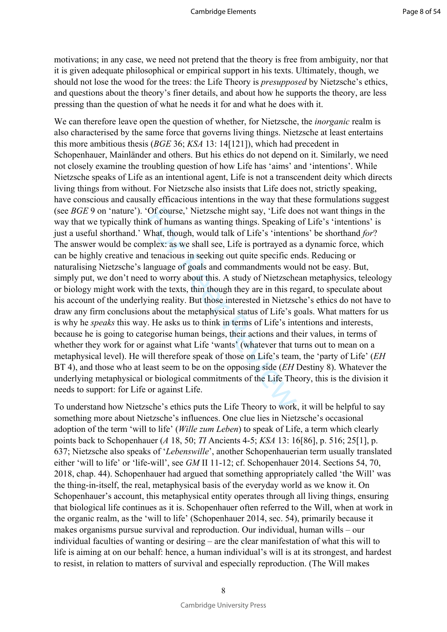motivations; in any case, we need not pretend that the theory is free from ambiguity, nor that it is given adequate philosophical or empirical support in his texts. Ultimately, though, we should not lose the wood for the trees: the Life Theory is *presupposed* by Nietzsche's ethics, and questions about the theory's finer details, and about how he supports the theory, are less pressing than the question of what he needs it for and what he does with it.

'Of course,' Nietzsche might say, 'Life do<br>nk of humans as wanting things. Speaking<br>What, though, would talk of Life's 'intenti-<br>nplex: as we shall see, Life is portrayed as<br>d tenacious in seeking out quite specific er<br>an We can therefore leave open the question of whether, for Nietzsche, the *inorganic* realm is also characterised by the same force that governs living things. Nietzsche at least entertains this more ambitious thesis (*BGE* 36; *KSA* 13: 14[121]), which had precedent in Schopenhauer, Mainländer and others. But his ethics do not depend on it. Similarly, we need not closely examine the troubling question of how Life has 'aims' and 'intentions'. While Nietzsche speaks of Life as an intentional agent, Life is not a transcendent deity which directs living things from without. For Nietzsche also insists that Life does not, strictly speaking, have conscious and causally efficacious intentions in the way that these formulations suggest (see *BGE* 9 on 'nature'). 'Of course,' Nietzsche might say, 'Life does not want things in the way that we typically think of humans as wanting things. Speaking of Life's 'intentions' is just a useful shorthand.' What, though, would talk of Life's 'intentions' be shorthand *for*? The answer would be complex: as we shall see, Life is portrayed as a dynamic force, which can be highly creative and tenacious in seeking out quite specific ends. Reducing or naturalising Nietzsche's language of goals and commandments would not be easy. But, simply put, we don't need to worry about this. A study of Nietzschean metaphysics, teleology or biology might work with the texts, thin though they are in this regard, to speculate about his account of the underlying reality. But those interested in Nietzsche's ethics do not have to draw any firm conclusions about the metaphysical status of Life's goals. What matters for us is why he *speaks* this way. He asks us to think in terms of Life's intentions and interests, because he is going to categorise human beings, their actions and their values, in terms of whether they work for or against what Life 'wants' (whatever that turns out to mean on a metaphysical level). He will therefore speak of those on Life's team, the 'party of Life' (*EH* BT 4), and those who at least seem to be on the opposing side (*EH* Destiny 8). Whatever the underlying metaphysical or biological commitments of the Life Theory, this is the division it needs to support: for Life or against Life.

To understand how Nietzsche's ethics puts the Life Theory to work, it will be helpful to say something more about Nietzsche's influences. One clue lies in Nietzsche's occasional adoption of the term 'will to life' (*Wille zum Leben*) to speak of Life, a term which clearly points back to Schopenhauer (*A* 18, 50; *TI* Ancients 4-5; *KSA* 13: 16[86], p. 516; 25[1], p. 637; Nietzsche also speaks of '*Lebenswille*', another Schopenhauerian term usually translated either 'will to life' or 'life-will', see *GM* II 11-12; cf. Schopenhauer 2014. Sections 54, 70, 2018, chap. 44). Schopenhauer had argued that something appropriately called 'the Will' was the thing-in-itself, the real, metaphysical basis of the everyday world as we know it. On Schopenhauer's account, this metaphysical entity operates through all living things, ensuring that biological life continues as it is. Schopenhauer often referred to the Will, when at work in the organic realm, as the 'will to life' (Schopenhauer 2014, sec. 54), primarily because it makes organisms pursue survival and reproduction. Our individual, human wills – our individual faculties of wanting or desiring – are the clear manifestation of what this will to life is aiming at on our behalf: hence, a human individual's will is at its strongest, and hardest to resist, in relation to matters of survival and especially reproduction. (The Will makes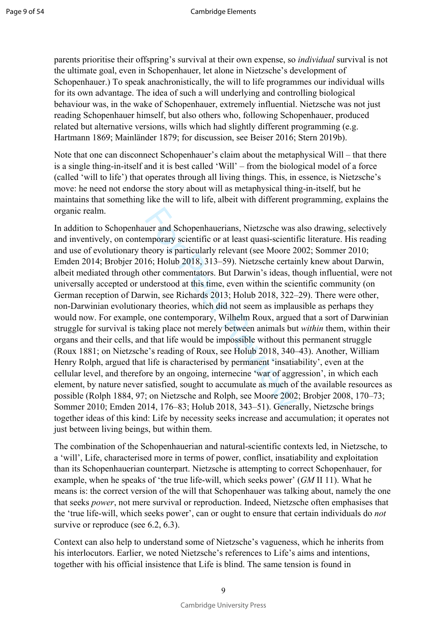parents prioritise their offspring's survival at their own expense, so *individual* survival is not the ultimate goal, even in Schopenhauer, let alone in Nietzsche's development of Schopenhauer.) To speak anachronistically, the will to life programmes our individual wills for its own advantage. The idea of such a will underlying and controlling biological behaviour was, in the wake of Schopenhauer, extremely influential. Nietzsche was not just reading Schopenhauer himself, but also others who, following Schopenhauer, produced related but alternative versions, wills which had slightly different programming (e.g. Hartmann 1869; Mainländer 1879; for discussion, see Beiser 2016; Stern 2019b).

Note that one can disconnect Schopenhauer's claim about the metaphysical Will – that there is a single thing-in-itself and it is best called 'Will' – from the biological model of a force (called 'will to life') that operates through all living things. This, in essence, is Nietzsche's move: he need not endorse the story about will as metaphysical thing-in-itself, but he maintains that something like the will to life, albeit with different programming, explains the organic realm.

uer and Schopenhauerians, Nietzsche was<br>mporary scientific or at least quasi-scientit<br>heory is particularly relevant (see Moore 2<br>16; Holub 2018, 313–59). Nietzsche certait<br>other commentators. But Darwin's ideas, th<br>mderst In addition to Schopenhauer and Schopenhauerians, Nietzsche was also drawing, selectively and inventively, on contemporary scientific or at least quasi-scientific literature. His reading and use of evolutionary theory is particularly relevant (see Moore 2002; Sommer 2010; Emden 2014; Brobjer 2016; Holub 2018, 313–59). Nietzsche certainly knew about Darwin, albeit mediated through other commentators. But Darwin's ideas, though influential, were not universally accepted or understood at this time, even within the scientific community (on German reception of Darwin, see Richards 2013; Holub 2018, 322–29). There were other, non-Darwinian evolutionary theories, which did not seem as implausible as perhaps they would now. For example, one contemporary, Wilhelm Roux, argued that a sort of Darwinian struggle for survival is taking place not merely between animals but *within* them, within their organs and their cells, and that life would be impossible without this permanent struggle (Roux 1881; on Nietzsche's reading of Roux, see Holub 2018, 340–43). Another, William Henry Rolph, argued that life is characterised by permanent 'insatiability', even at the cellular level, and therefore by an ongoing, internecine 'war of aggression', in which each element, by nature never satisfied, sought to accumulate as much of the available resources as possible (Rolph 1884, 97; on Nietzsche and Rolph, see Moore 2002; Brobjer 2008, 170–73; Sommer 2010; Emden 2014, 176–83; Holub 2018, 343–51). Generally, Nietzsche brings together ideas of this kind: Life by necessity seeks increase and accumulation; it operates not just between living beings, but within them.

The combination of the Schopenhauerian and natural-scientific contexts led, in Nietzsche, to a 'will', Life, characterised more in terms of power, conflict, insatiability and exploitation than its Schopenhauerian counterpart. Nietzsche is attempting to correct Schopenhauer, for example, when he speaks of 'the true life-will, which seeks power' (*GM* II 11). What he means is: the correct version of the will that Schopenhauer was talking about, namely the one that seeks *power*, not mere survival or reproduction. Indeed, Nietzsche often emphasises that the 'true life-will, which seeks power', can or ought to ensure that certain individuals do *not*  survive or reproduce (see 6.2, 6.3).

Context can also help to understand some of Nietzsche's vagueness, which he inherits from his interlocutors. Earlier, we noted Nietzsche's references to Life's aims and intentions, together with his official insistence that Life is blind. The same tension is found in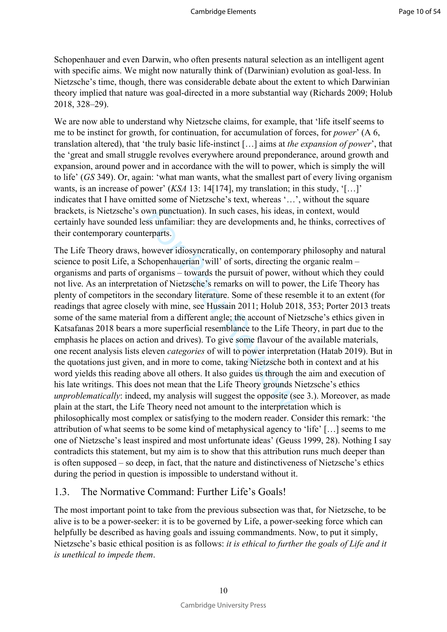Schopenhauer and even Darwin, who often presents natural selection as an intelligent agent with specific aims. We might now naturally think of (Darwinian) evolution as goal-less. In Nietzsche's time, though, there was considerable debate about the extent to which Darwinian theory implied that nature was goal-directed in a more substantial way (Richards 2009; Holub 2018, 328–29).

We are now able to understand why Nietzsche claims, for example, that 'life itself seems to me to be instinct for growth, for continuation, for accumulation of forces, for *power*' (A 6, translation altered), that 'the truly basic life-instinct […] aims at *the expansion of power*', that the 'great and small struggle revolves everywhere around preponderance, around growth and expansion, around power and in accordance with the will to power, which is simply the will to life' (*GS* 349). Or, again: 'what man wants, what the smallest part of every living organism wants, is an increase of power' (*KSA* 13: 14[174], my translation; in this study, '[…]' indicates that I have omitted some of Nietzsche's text, whereas '…', without the square brackets, is Nietzsche's own punctuation). In such cases, his ideas, in context, would certainly have sounded less unfamiliar: they are developments and, he thinks, correctives of their contemporary counterparts.

wn punctuation). In such cases, his ideas,<br>ss unfamiliar: they are developments and,<br>erparts.<br>nowever idiosyncratically, on contemporar<br>chopenhauerian 'will' of sorts, directing th<br>ganisms – towards the pursuit of power, w The Life Theory draws, however idiosyncratically, on contemporary philosophy and natural science to posit Life, a Schopenhauerian 'will' of sorts, directing the organic realm – organisms and parts of organisms – towards the pursuit of power, without which they could not live. As an interpretation of Nietzsche's remarks on will to power, the Life Theory has plenty of competitors in the secondary literature. Some of these resemble it to an extent (for readings that agree closely with mine, see Hussain 2011; Holub 2018, 353; Porter 2013 treats some of the same material from a different angle; the account of Nietzsche's ethics given in Katsafanas 2018 bears a more superficial resemblance to the Life Theory, in part due to the emphasis he places on action and drives). To give some flavour of the available materials, one recent analysis lists eleven *categories* of will to power interpretation (Hatab 2019). But in the quotations just given, and in more to come, taking Nietzsche both in context and at his word yields this reading above all others. It also guides us through the aim and execution of his late writings. This does not mean that the Life Theory grounds Nietzsche's ethics *unproblematically*: indeed, my analysis will suggest the opposite (see 3.). Moreover, as made plain at the start, the Life Theory need not amount to the interpretation which is philosophically most complex or satisfying to the modern reader. Consider this remark: 'the attribution of what seems to be some kind of metaphysical agency to 'life' […] seems to me one of Nietzsche's least inspired and most unfortunate ideas' (Geuss 1999, 28). Nothing I say contradicts this statement, but my aim is to show that this attribution runs much deeper than is often supposed – so deep, in fact, that the nature and distinctiveness of Nietzsche's ethics during the period in question is impossible to understand without it.

## 1.3. The Normative Command: Further Life's Goals!

The most important point to take from the previous subsection was that, for Nietzsche, to be alive is to be a power-seeker: it is to be governed by Life, a power-seeking force which can helpfully be described as having goals and issuing commandments. Now, to put it simply, Nietzsche's basic ethical position is as follows: *it is ethical to further the goals of Life and it is unethical to impede them*.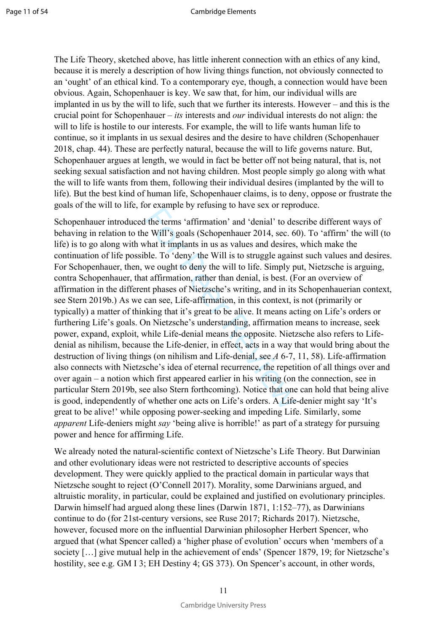The Life Theory, sketched above, has little inherent connection with an ethics of any kind, because it is merely a description of how living things function, not obviously connected to an 'ought' of an ethical kind. To a contemporary eye, though, a connection would have been obvious. Again, Schopenhauer is key. We saw that, for him, our individual wills are implanted in us by the will to life, such that we further its interests. However – and this is the crucial point for Schopenhauer – *its* interests and *our* individual interests do not align: the will to life is hostile to our interests. For example, the will to life wants human life to continue, so it implants in us sexual desires and the desire to have children (Schopenhauer 2018, chap. 44). These are perfectly natural, because the will to life governs nature. But, Schopenhauer argues at length, we would in fact be better off not being natural, that is, not seeking sexual satisfaction and not having children. Most people simply go along with what the will to life wants from them, following their individual desires (implanted by the will to life). But the best kind of human life, Schopenhauer claims, is to deny, oppose or frustrate the goals of the will to life, for example by refusing to have sex or reproduce.

I the terms 'affirmation' and 'denial' to describe the terms 'affirmation' and 'denial' to dese Will's goals (Schopenhauer 2014, sec. 6<br>that it implants in us as values and desires, ble. To 'deny' the Will is to struggle Schopenhauer introduced the terms 'affirmation' and 'denial' to describe different ways of behaving in relation to the Will's goals (Schopenhauer 2014, sec. 60). To 'affirm' the will (to life) is to go along with what it implants in us as values and desires, which make the continuation of life possible. To 'deny' the Will is to struggle against such values and desires. For Schopenhauer, then, we ought to deny the will to life. Simply put, Nietzsche is arguing, contra Schopenhauer, that affirmation, rather than denial, is best. (For an overview of affirmation in the different phases of Nietzsche's writing, and in its Schopenhauerian context, see Stern 2019b.) As we can see, Life-affirmation, in this context, is not (primarily or typically) a matter of thinking that it's great to be alive. It means acting on Life's orders or furthering Life's goals. On Nietzsche's understanding, affirmation means to increase, seek power, expand, exploit, while Life-denial means the opposite. Nietzsche also refers to Lifedenial as nihilism, because the Life-denier, in effect, acts in a way that would bring about the destruction of living things (on nihilism and Life-denial, see *A* 6-7, 11, 58). Life-affirmation also connects with Nietzsche's idea of eternal recurrence, the repetition of all things over and over again – a notion which first appeared earlier in his writing (on the connection, see in particular Stern 2019b, see also Stern forthcoming). Notice that one can hold that being alive is good, independently of whether one acts on Life's orders. A Life-denier might say 'It's great to be alive!' while opposing power-seeking and impeding Life. Similarly, some *apparent* Life-deniers might *say* 'being alive is horrible!' as part of a strategy for pursuing power and hence for affirming Life.

We already noted the natural-scientific context of Nietzsche's Life Theory. But Darwinian and other evolutionary ideas were not restricted to descriptive accounts of species development. They were quickly applied to the practical domain in particular ways that Nietzsche sought to reject (O'Connell 2017). Morality, some Darwinians argued, and altruistic morality, in particular, could be explained and justified on evolutionary principles. Darwin himself had argued along these lines (Darwin 1871, 1:152–77), as Darwinians continue to do (for 21st-century versions, see Ruse 2017; Richards 2017). Nietzsche, however, focused more on the influential Darwinian philosopher Herbert Spencer, who argued that (what Spencer called) a 'higher phase of evolution' occurs when 'members of a society [...] give mutual help in the achievement of ends' (Spencer 1879, 19; for Nietzsche's hostility, see e.g. GM I 3; EH Destiny 4; GS 373). On Spencer's account, in other words,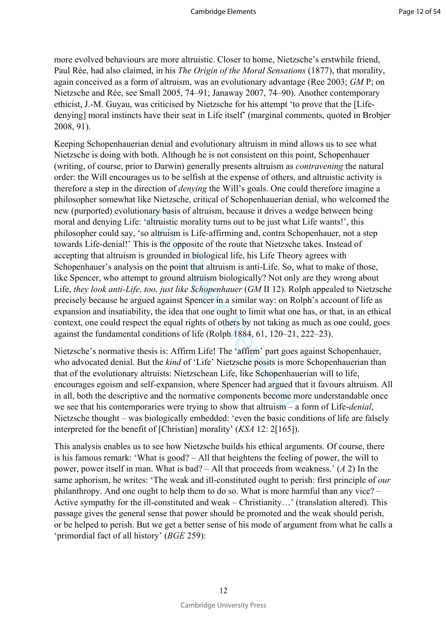more evolved behaviours are more altruistic. Closer to home, Nietzsche's erstwhile friend, Paul Rée, had also claimed, in his *The Origin of the Moral Sensations* (1877), that morality, again conceived as a form of altruism, was an evolutionary advantage (Ree 2003; *GM* P; on Nietzsche and Rée, see Small 2005, 74–91; Janaway 2007, 74–90). Another contemporary ethicist, J.-M. Guyau, was criticised by Nietzsche for his attempt 'to prove that the [Lifedenying] moral instincts have their seat in Life itself' (marginal comments, quoted in Brobjer 2008, 91).

nary basis of altruism, because it drives a v'altruistic morality turns out to be just wha<br>o altruism is Life-affirming and, contra Sci<br>s is the opposite of the route that Nietzsch-<br>grounded in biological life, his Life T Keeping Schopenhauerian denial and evolutionary altruism in mind allows us to see what Nietzsche is doing with both. Although he is not consistent on this point, Schopenhauer (writing, of course, prior to Darwin) generally presents altruism as *contravening* the natural order: the Will encourages us to be selfish at the expense of others, and altruistic activity is therefore a step in the direction of *denying* the Will's goals. One could therefore imagine a philosopher somewhat like Nietzsche, critical of Schopenhauerian denial, who welcomed the new (purported) evolutionary basis of altruism, because it drives a wedge between being moral and denying Life: 'altruistic morality turns out to be just what Life wants!', this philosopher could say, 'so altruism is Life-affirming and, contra Schopenhauer, not a step towards Life-denial!' This is the opposite of the route that Nietzsche takes. Instead of accepting that altruism is grounded in biological life, his Life Theory agrees with Schopenhauer's analysis on the point that altruism is anti-Life. So, what to make of those, like Spencer, who attempt to ground altruism biologically? Not only are they wrong about Life, they look anti-Life, too, just like Schopenhauer (GM II 12). Rolph appealed to Nietzsche precisely because he argued against Spencer in a similar way: on Rolph's account of life as expansion and insatiability, the idea that one ought to limit what one has, or that, in an ethical context, one could respect the equal rights of others by not taking as much as one could, goes against the fundamental conditions of life (Rolph 1884, 61, 120–21, 222–23).

Nietzsche's normative thesis is: Affirm Life! The 'affirm' part goes against Schopenhauer, who advocated denial. But the *kind* of 'Life' Nietzsche posits is more Schopenhauerian than that of the evolutionary altruists: Nietzschean Life, like Schopenhauerian will to life, encourages egoism and self-expansion, where Spencer had argued that it favours altruism. All in all, both the descriptive and the normative components become more understandable once we see that his contemporaries were trying to show that altruism – a form of Life-*denial*, Nietzsche thought – was biologically embedded: 'even the basic conditions of life are falsely interpreted for the benefit of [Christian] morality' (*KSA* 12: 2[165]).

This analysis enables us to see how Nietzsche builds his ethical arguments. Of course, there is his famous remark: 'What is good? – All that heightens the feeling of power, the will to power, power itself in man. What is bad? – All that proceeds from weakness.' (*A* 2) In the same aphorism, he writes: 'The weak and ill-constituted ought to perish: first principle of *our* philanthropy. And one ought to help them to do so. What is more harmful than any vice? – Active sympathy for the ill-constituted and weak – Christianity…' (translation altered). This passage gives the general sense that power should be promoted and the weak should perish, or be helped to perish. But we get a better sense of his mode of argument from what he calls a 'primordial fact of all history' (*BGE* 259):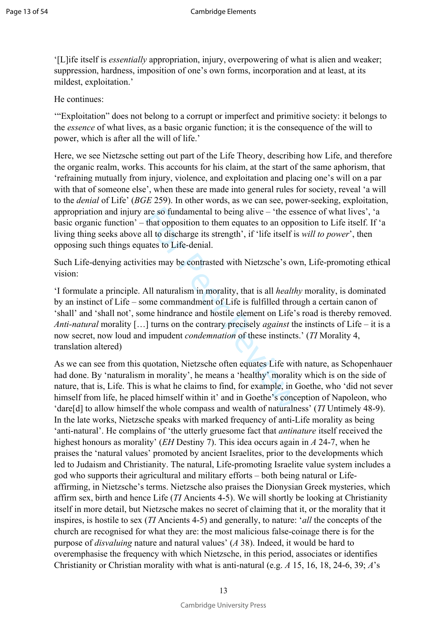'[L]ife itself is *essentially* appropriation, injury, overpowering of what is alien and weaker; suppression, hardness, imposition of one's own forms, incorporation and at least, at its mildest, exploitation.'

He continues:

'"Exploitation" does not belong to a corrupt or imperfect and primitive society: it belongs to the *essence* of what lives, as a basic organic function; it is the consequence of the will to power, which is after all the will of life.'

Here, we see Nietzsche setting out part of the Life Theory, describing how Life, and therefore the organic realm, works. This accounts for his claim, at the start of the same aphorism, that 'refraining mutually from injury, violence, and exploitation and placing one's will on a par with that of someone else', when these are made into general rules for society, reveal 'a will to the *denial* of Life' (*BGE* 259). In other words, as we can see, power-seeking, exploitation, appropriation and injury are so fundamental to being alive – 'the essence of what lives', 'a basic organic function' – that opposition to them equates to an opposition to Life itself. If 'a living thing seeks above all to discharge its strength', if 'life itself is *will to power*', then opposing such things equates to Life-denial.

Such Life-denying activities may be contrasted with Nietzsche's own, Life-promoting ethical vision:

are so fundamental to being alive – 'the ess<br>that opposition to them equates to an oppo<br>all to discharge its strength', if 'life itself is<br>ates to Life-denial.<br>ties may be contrasted with Nietzsche's ow<br>All naturalism in m 'I formulate a principle. All naturalism in morality, that is all *healthy* morality, is dominated by an instinct of Life – some commandment of Life is fulfilled through a certain canon of 'shall' and 'shall not', some hindrance and hostile element on Life's road is thereby removed. *Anti-natural* morality […] turns on the contrary precisely *against* the instincts of Life – it is a now secret, now loud and impudent *condemnation* of these instincts.' (*TI* Morality 4, translation altered)

As we can see from this quotation, Nietzsche often equates Life with nature, as Schopenhauer had done. By 'naturalism in morality', he means a 'healthy' morality which is on the side of nature, that is, Life. This is what he claims to find, for example, in Goethe, who 'did not sever himself from life, he placed himself within it' and in Goethe's conception of Napoleon, who 'dare[d] to allow himself the whole compass and wealth of naturalness' (*TI* Untimely 48-9). In the late works, Nietzsche speaks with marked frequency of anti-Life morality as being 'anti-natural'. He complains of 'the utterly gruesome fact that *antinature* itself received the highest honours as morality' (*EH* Destiny 7). This idea occurs again in *A* 24-7, when he praises the 'natural values' promoted by ancient Israelites, prior to the developments which led to Judaism and Christianity. The natural, Life-promoting Israelite value system includes a god who supports their agricultural and military efforts – both being natural or Lifeaffirming, in Nietzsche's terms. Nietzsche also praises the Dionysian Greek mysteries, which affirm sex, birth and hence Life (*TI* Ancients 4-5). We will shortly be looking at Christianity itself in more detail, but Nietzsche makes no secret of claiming that it, or the morality that it inspires, is hostile to sex (*TI* Ancients 4-5) and generally, to nature: '*all* the concepts of the church are recognised for what they are: the most malicious false-coinage there is for the purpose of *disvaluing* nature and natural values' (*A* 38). Indeed, it would be hard to overemphasise the frequency with which Nietzsche, in this period, associates or identifies Christianity or Christian morality with what is anti-natural (e.g. *A* 15, 16, 18, 24-6, 39; *A*'s